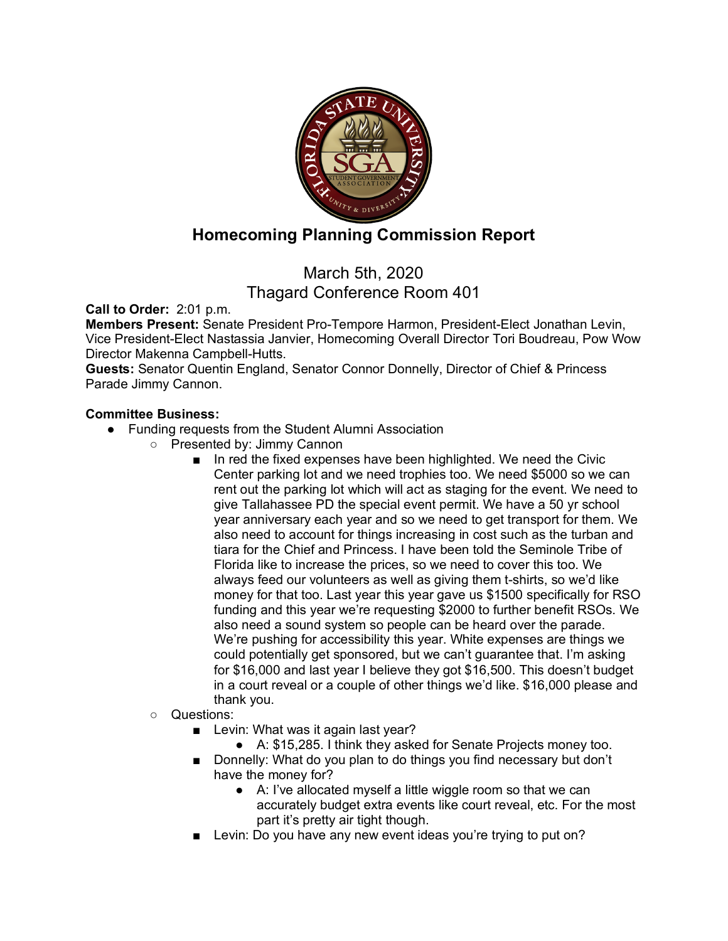

## **Homecoming Planning Commission Report**

March 5th, 2020 Thagard Conference Room 401

**Call to Order:** 2:01 p.m.

**Members Present:** Senate President Pro-Tempore Harmon, President-Elect Jonathan Levin, Vice President-Elect Nastassia Janvier, Homecoming Overall Director Tori Boudreau, Pow Wow Director Makenna Campbell-Hutts.

**Guests:** Senator Quentin England, Senator Connor Donnelly, Director of Chief & Princess Parade Jimmy Cannon.

## **Committee Business:**

- Funding requests from the Student Alumni Association
	- Presented by: Jimmy Cannon
		- In red the fixed expenses have been highlighted. We need the Civic Center parking lot and we need trophies too. We need \$5000 so we can rent out the parking lot which will act as staging for the event. We need to give Tallahassee PD the special event permit. We have a 50 yr school year anniversary each year and so we need to get transport for them. We also need to account for things increasing in cost such as the turban and tiara for the Chief and Princess. I have been told the Seminole Tribe of Florida like to increase the prices, so we need to cover this too. We always feed our volunteers as well as giving them t-shirts, so we'd like money for that too. Last year this year gave us \$1500 specifically for RSO funding and this year we're requesting \$2000 to further benefit RSOs. We also need a sound system so people can be heard over the parade. We're pushing for accessibility this year. White expenses are things we could potentially get sponsored, but we can't guarantee that. I'm asking for \$16,000 and last year I believe they got \$16,500. This doesn't budget in a court reveal or a couple of other things we'd like. \$16,000 please and thank you.
	- Questions:
		- Levin: What was it again last year?
			- A: \$15,285. I think they asked for Senate Projects money too.
		- Donnelly: What do you plan to do things you find necessary but don't have the money for?
			- A: I've allocated myself a little wiggle room so that we can accurately budget extra events like court reveal, etc. For the most part it's pretty air tight though.
		- Levin: Do you have any new event ideas you're trying to put on?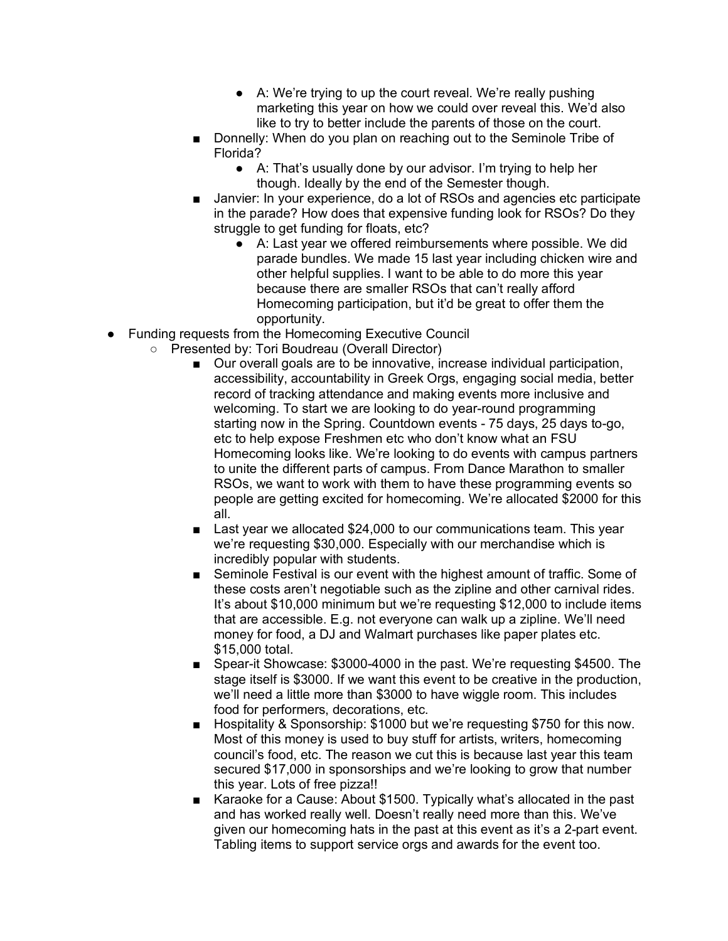- A: We're trying to up the court reveal. We're really pushing marketing this year on how we could over reveal this. We'd also like to try to better include the parents of those on the court.
- Donnelly: When do you plan on reaching out to the Seminole Tribe of Florida?
	- A: That's usually done by our advisor. I'm trying to help her though. Ideally by the end of the Semester though.
- Janvier: In your experience, do a lot of RSOs and agencies etc participate in the parade? How does that expensive funding look for RSOs? Do they struggle to get funding for floats, etc?
	- A: Last year we offered reimbursements where possible. We did parade bundles. We made 15 last year including chicken wire and other helpful supplies. I want to be able to do more this year because there are smaller RSOs that can't really afford Homecoming participation, but it'd be great to offer them the opportunity.
- Funding requests from the Homecoming Executive Council
	- Presented by: Tori Boudreau (Overall Director)
		- Our overall goals are to be innovative, increase individual participation, accessibility, accountability in Greek Orgs, engaging social media, better record of tracking attendance and making events more inclusive and welcoming. To start we are looking to do year-round programming starting now in the Spring. Countdown events - 75 days, 25 days to-go, etc to help expose Freshmen etc who don't know what an FSU Homecoming looks like. We're looking to do events with campus partners to unite the different parts of campus. From Dance Marathon to smaller RSOs, we want to work with them to have these programming events so people are getting excited for homecoming. We're allocated \$2000 for this all.
		- Last year we allocated \$24,000 to our communications team. This year we're requesting \$30,000. Especially with our merchandise which is incredibly popular with students.
		- Seminole Festival is our event with the highest amount of traffic. Some of these costs aren't negotiable such as the zipline and other carnival rides. It's about \$10,000 minimum but we're requesting \$12,000 to include items that are accessible. E.g. not everyone can walk up a zipline. We'll need money for food, a DJ and Walmart purchases like paper plates etc. \$15,000 total.
		- Spear-it Showcase: \$3000-4000 in the past. We're requesting \$4500. The stage itself is \$3000. If we want this event to be creative in the production, we'll need a little more than \$3000 to have wiggle room. This includes food for performers, decorations, etc.
		- Hospitality & Sponsorship: \$1000 but we're requesting \$750 for this now. Most of this money is used to buy stuff for artists, writers, homecoming council's food, etc. The reason we cut this is because last year this team secured \$17,000 in sponsorships and we're looking to grow that number this year. Lots of free pizza!!
		- Karaoke for a Cause: About \$1500. Typically what's allocated in the past and has worked really well. Doesn't really need more than this. We've given our homecoming hats in the past at this event as it's a 2-part event. Tabling items to support service orgs and awards for the event too.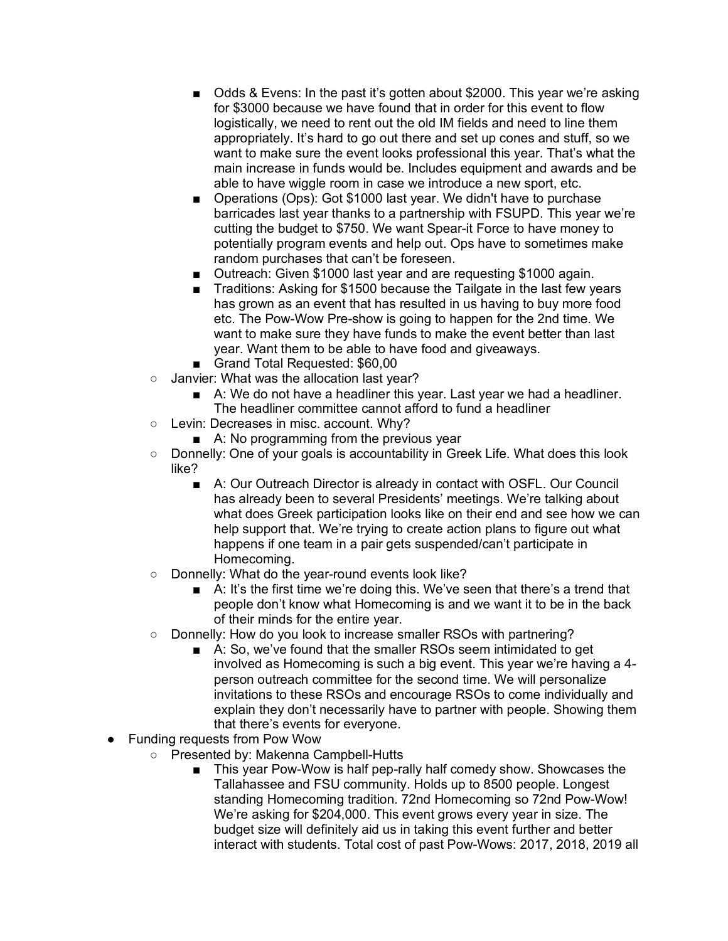- Odds & Evens: In the past it's gotten about \$2000. This year we're asking for \$3000 because we have found that in order for this event to flow logistically, we need to rent out the old IM fields and need to line them appropriately. It's hard to go out there and set up cones and stuff, so we want to make sure the event looks professional this year. That's what the main increase in funds would be. Includes equipment and awards and be able to have wiggle room in case we introduce a new sport, etc.
- Operations (Ops): Got \$1000 last year. We didn't have to purchase barricades last year thanks to a partnership with FSUPD. This year we're cutting the budget to \$750. We want Spear-it Force to have money to potentially program events and help out. Ops have to sometimes make random purchases that can't be foreseen.
- Outreach: Given \$1000 last year and are requesting \$1000 again.
- Traditions: Asking for \$1500 because the Tailgate in the last few vears has grown as an event that has resulted in us having to buy more food etc. The Pow-Wow Pre-show is going to happen for the 2nd time. We want to make sure they have funds to make the event better than last year. Want them to be able to have food and giveaways.
- Grand Total Requested: \$60,00
- Janvier: What was the allocation last year?
	- A: We do not have a headliner this year. Last year we had a headliner. The headliner committee cannot afford to fund a headliner
- Levin: Decreases in misc. account. Why?
	- A: No programming from the previous year
- Donnelly: One of your goals is accountability in Greek Life. What does this look like?
	- A: Our Outreach Director is already in contact with OSFL. Our Council has already been to several Presidents' meetings. We're talking about what does Greek participation looks like on their end and see how we can help support that. We're trying to create action plans to figure out what happens if one team in a pair gets suspended/can't participate in Homecoming.
- Donnelly: What do the year-round events look like?
	- A: It's the first time we're doing this. We've seen that there's a trend that people don't know what Homecoming is and we want it to be in the back of their minds for the entire year.
- Donnelly: How do you look to increase smaller RSOs with partnering?
	- A: So, we've found that the smaller RSOs seem intimidated to get involved as Homecoming is such a big event. This year we're having a 4 person outreach committee for the second time. We will personalize invitations to these RSOs and encourage RSOs to come individually and explain they don't necessarily have to partner with people. Showing them that there's events for everyone.
- Funding requests from Pow Wow
	- Presented by: Makenna Campbell-Hutts
		- This year Pow-Wow is half pep-rally half comedy show. Showcases the Tallahassee and FSU community. Holds up to 8500 people. Longest standing Homecoming tradition. 72nd Homecoming so 72nd Pow-Wow! We're asking for \$204,000. This event grows every year in size. The budget size will definitely aid us in taking this event further and better interact with students. Total cost of past Pow-Wows: 2017, 2018, 2019 all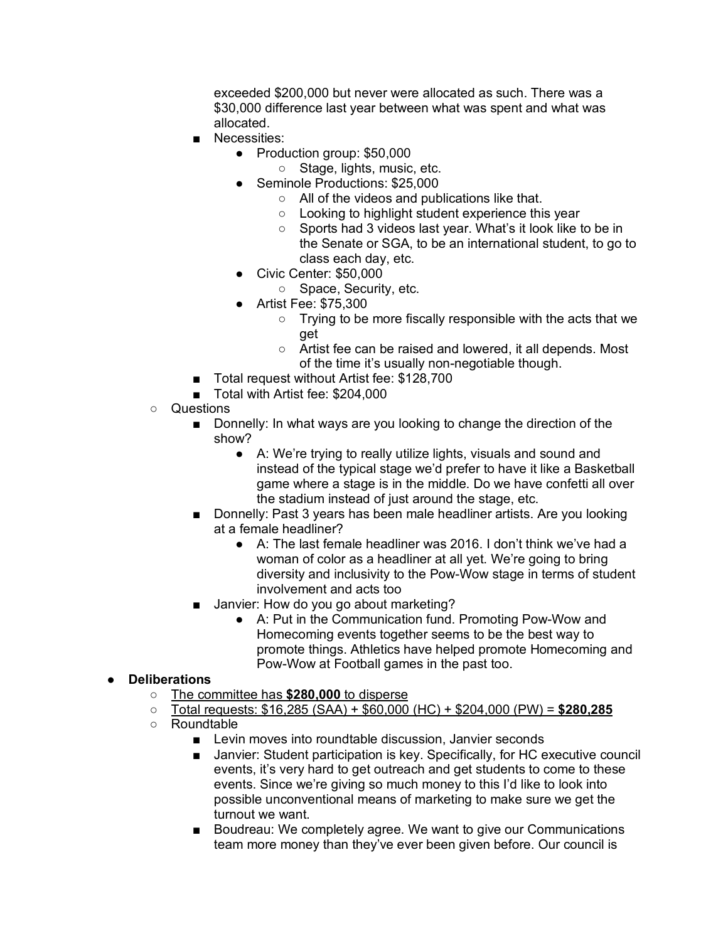exceeded \$200,000 but never were allocated as such. There was a \$30,000 difference last year between what was spent and what was allocated.

- Necessities:
	- Production group: \$50,000
		- Stage, lights, music, etc.
	- Seminole Productions: \$25,000
		- All of the videos and publications like that.
		- Looking to highlight student experience this year
		- Sports had 3 videos last year. What's it look like to be in the Senate or SGA, to be an international student, to go to class each day, etc.
	- Civic Center: \$50,000
		- Space, Security, etc.
	- Artist Fee: \$75,300
		- Trying to be more fiscally responsible with the acts that we get
		- Artist fee can be raised and lowered, it all depends. Most of the time it's usually non-negotiable though.
- Total request without Artist fee: \$128,700
- Total with Artist fee: \$204,000
- Questions
	- Donnelly: In what ways are you looking to change the direction of the show?
		- A: We're trying to really utilize lights, visuals and sound and instead of the typical stage we'd prefer to have it like a Basketball game where a stage is in the middle. Do we have confetti all over the stadium instead of just around the stage, etc.
	- Donnelly: Past 3 years has been male headliner artists. Are you looking at a female headliner?
		- A: The last female headliner was 2016. I don't think we've had a woman of color as a headliner at all yet. We're going to bring diversity and inclusivity to the Pow-Wow stage in terms of student involvement and acts too
	- Janvier: How do you go about marketing?
		- A: Put in the Communication fund. Promoting Pow-Wow and Homecoming events together seems to be the best way to promote things. Athletics have helped promote Homecoming and Pow-Wow at Football games in the past too.

## ● **Deliberations**

- The committee has **\$280,000** to disperse
- Total requests: \$16,285 (SAA) + \$60,000 (HC) + \$204,000 (PW) = **\$280,285**
- Roundtable
	- Levin moves into roundtable discussion, Janvier seconds
	- Janvier: Student participation is key. Specifically, for HC executive council events, it's very hard to get outreach and get students to come to these events. Since we're giving so much money to this I'd like to look into possible unconventional means of marketing to make sure we get the turnout we want.
	- Boudreau: We completely agree. We want to give our Communications team more money than they've ever been given before. Our council is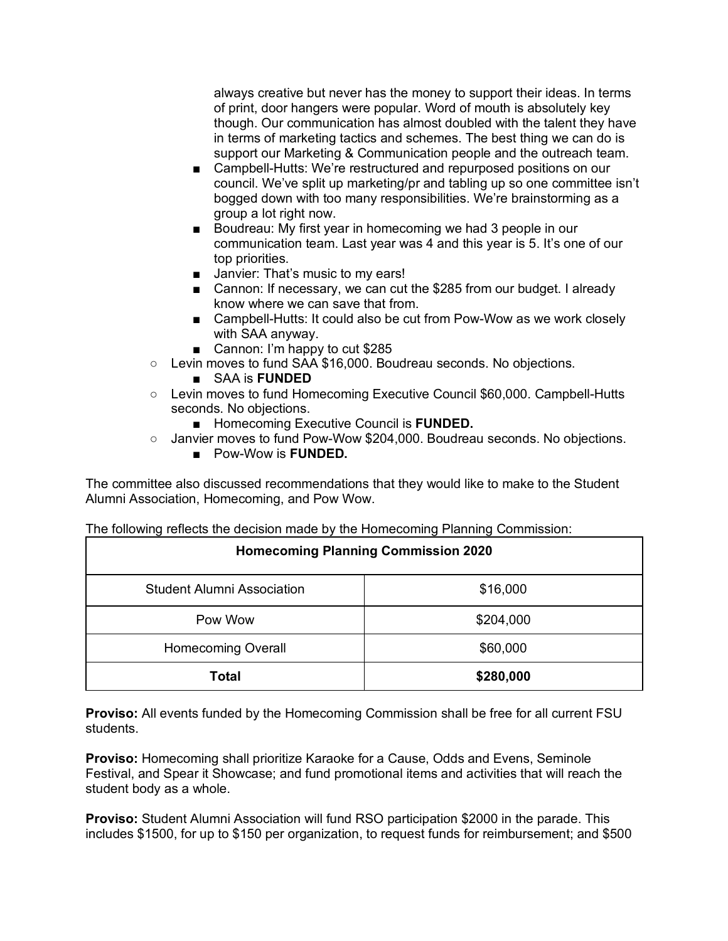always creative but never has the money to support their ideas. In terms of print, door hangers were popular. Word of mouth is absolutely key though. Our communication has almost doubled with the talent they have in terms of marketing tactics and schemes. The best thing we can do is support our Marketing & Communication people and the outreach team.

- Campbell-Hutts: We're restructured and repurposed positions on our council. We've split up marketing/pr and tabling up so one committee isn't bogged down with too many responsibilities. We're brainstorming as a group a lot right now.
- Boudreau: My first year in homecoming we had 3 people in our communication team. Last year was 4 and this year is 5. It's one of our top priorities.
- Janvier: That's music to my ears!
- Cannon: If necessary, we can cut the \$285 from our budget. I already know where we can save that from.
- Campbell-Hutts: It could also be cut from Pow-Wow as we work closely with SAA anyway.
- Cannon: I'm happy to cut \$285
- Levin moves to fund SAA \$16,000. Boudreau seconds. No objections.
	- SAA is **FUNDED**
- Levin moves to fund Homecoming Executive Council \$60,000. Campbell-Hutts seconds. No objections.
	- Homecoming Executive Council is **FUNDED.**
- Janvier moves to fund Pow-Wow \$204,000. Boudreau seconds. No objections.
	- Pow-Wow is **FUNDED.**

The committee also discussed recommendations that they would like to make to the Student Alumni Association, Homecoming, and Pow Wow.

The following reflects the decision made by the Homecoming Planning Commission:

| <b>Homecoming Planning Commission 2020</b> |           |
|--------------------------------------------|-----------|
| <b>Student Alumni Association</b>          | \$16,000  |
| Pow Wow                                    | \$204,000 |
| <b>Homecoming Overall</b>                  | \$60,000  |
| <b>Total</b>                               | \$280,000 |

**Proviso:** All events funded by the Homecoming Commission shall be free for all current FSU students.

**Proviso:** Homecoming shall prioritize Karaoke for a Cause, Odds and Evens, Seminole Festival, and Spear it Showcase; and fund promotional items and activities that will reach the student body as a whole.

**Proviso:** Student Alumni Association will fund RSO participation \$2000 in the parade. This includes \$1500, for up to \$150 per organization, to request funds for reimbursement; and \$500